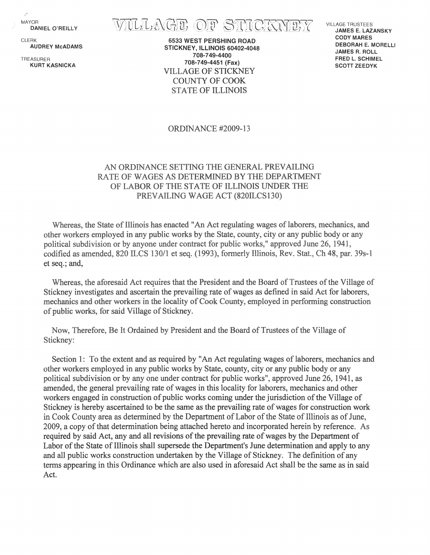**MAYOR** DANIEL O'REILLY

CLER<sub>K</sub> AUDREY McADAMS

KURT KASNICKA

VILLAGE OF STICKNEY

6533 WEST PERSHING ROAD STiCKNEY, ILLINOiS 60402-4048 708-749-4400 708-749-4451 (Fax) TREASURER VILLAGE OF STICKNEY COUNTY OF COOK STATE OF ILLINOIS

VILLAGE TRUSTEES JAMES E. LAZANSKY CODY MARES DEBORAH E. MORELLI JAMES R. ROLL FRED L. SCHIMEL SCOTT ZEEDYK

#### ORDINANCE #2009-13

### AN ORDINANCE SETTING THE GENERAL PREVAILING RATE OF WAGES AS DETERMINED BY THE DEPARTMENT OF LABOR OF THE STATE OF ILLINOIS UNDER THE PREVAILING WAGE ACT (820ILCS130)

et seq.; and, Whereas, the State of Illinois has enacted "An Act regulating wages of laborers, mechanics, and other workers employed in any public works by the State, county, city or any public body or any political subdivision or by anyone under contract for public works," approved June 26, 1941, codified as amended, 820 ILCS 130/1 et seq. (1993), formerly Illinois, Rev. Stat., Ch 48, par. 39s-1

Whereas, the aforesaid Act requires that the President and the Board of Trustees of the Village of Stickney investigates and ascertain the prevailing rate of wages as defined in said Act for laborers, mechanics and other workers in the locality of Cook County, employed in performing construction of public works, for said Village of Stickney.

Now, Therefore, Be It Ordained by President and the Board of Trustees of the Village of Stickney:

Section 1: To the extent and as required by "An Act regulating wages of laborers, mechanics and other workers employed in any public works by State, county, city or any public body or any political subdivision or by anyone under contract for public works", approved June 26, 1941, as amended, the general prevailing rate of wages in this locality for laborers, mechanics and other workers engaged in construction of public works coming under the jurisdiction of the Village of Stickney is hereby ascertained to be the same as the prevailing rate of wages for construction work in Cook County area as determined by the Department of Labor of the State of Illinois as of June, 2009, a copy of that determination being attached hereto and incorporated herein by reference. As required by said Act, any and all revisions of the prevailing rate of wages by the Department of Labor of the State of Illinois shall supersede the Department's June determination and apply to any and all public works construction undertaken by the Village of Stickney. The definition of any terms appearing in this Ordinance which are also used in aforesaid Act shall be the same as in said Act.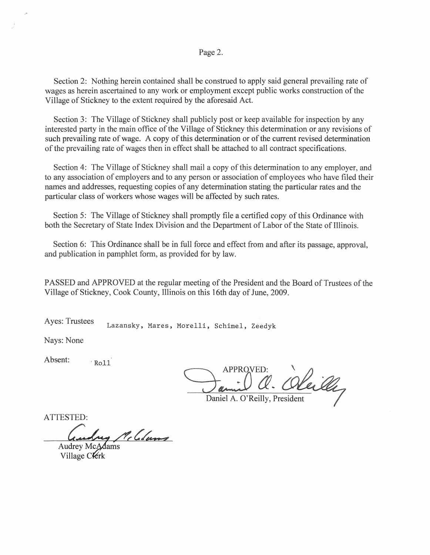Page 2.

Section 2: Nothing herein contained shall be construed to apply said general prevailing rate of wages as herein ascertained to any work or employment except public works construction of the Village of Stickney to the extent required by the aforesaid Act.

Section 3: The Village of Stickney shall publicly post or keep available for inspection by any interested party in the main office of the Village of Stickney this determination or any revisions of such prevailing rate of wage. A copy of this determination or of the current revised determination of the prevailing rate of wages then in effect shall be attached to all contract specifications.

Section 4: The Village of Stickney shall mail a copy of this determination to any employer, and to any association of employers and to any person or association of employees who have filed their names and addresses, requesting copies of any determination stating the particular rates and the particular class of workers whose wages will be affected by such rates.

Section 5: The Village of Stickney shall promptly file a certified copy of this Ordinance with both the Secretary of State Index Division and the Department of Labor of the State of Illinois.

Section 6: This Ordinance shall be in full force and effect from and after its passage, approval, and publication in pamphlet form, as provided for by law.

PASSED and APPROVED at the regular meeting of the President and the Board of Trustees of the Village of Stickney, Cook County, Illinois on this 16th day of June, 2009.

Ayes: Trustees Lazansky, Mares, Morelli, Schimel, Zeedyk

Nays: None

Absent:  $Ro11$ 

VED:<br>a. Oleille

Daniel A. O'Reilly, President

ATTESTED:

Guslay Mc Colums<br>Audrey Mc Adams<br>Village C Verk